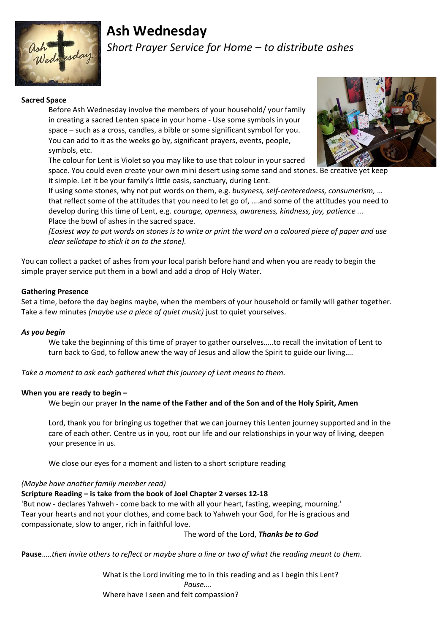

# **Ash Wednesday**

*Short Prayer Service for Home – to distribute ashes*

# **Sacred Space**

Before Ash Wednesday involve the members of your household/ your family in creating a sacred Lenten space in your home - Use some symbols in your space – such as a cross, candles, a bible or some significant symbol for you. You can add to it as the weeks go by, significant prayers, events, people, symbols, etc.

The colour for Lent is Violet so you may like to use that colour in your sacred

space. You could even create your own mini desert using some sand and stones. Be creative yet keep it simple. Let it be your family's little oasis, sanctuary, during Lent.

If using some stones, why not put words on them, e.g. *busyness, self-centeredness, consumerism,* … that reflect some of the attitudes that you need to let go of, ….and some of the attitudes you need to develop during this time of Lent, e.g. *courage, openness, awareness, kindness, joy, patience ...* Place the bowl of ashes in the sacred space.

*[Easiest way to put words on stones is to write or print the word on a coloured piece of paper and use clear sellotape to stick it on to the stone].*

You can collect a packet of ashes from your local parish before hand and when you are ready to begin the simple prayer service put them in a bowl and add a drop of Holy Water.

## **Gathering Presence**

Set a time, before the day begins maybe, when the members of your household or family will gather together. Take a few minutes *(maybe use a piece of quiet music)* just to quiet yourselves.

## *As you begin*

We take the beginning of this time of prayer to gather ourselves…..to recall the invitation of Lent to turn back to God, to follow anew the way of Jesus and allow the Spirit to guide our living….

*Take a moment to ask each gathered what this journey of Lent means to them.*

## **When you are ready to begin –**

We begin our prayer **In the name of the Father and of the Son and of the Holy Spirit, Amen**

Lord, thank you for bringing us together that we can journey this Lenten journey supported and in the care of each other. Centre us in you, root our life and our relationships in your way of living, deepen your presence in us.

We close our eyes for a moment and listen to a short scripture reading

*(Maybe have another family member read)*

# **Scripture Reading – is take from the book of Joel Chapter 2 verses 12-18**

'But now - declares Yahweh - come back to me with all your heart, fasting, weeping, mourning.' Tear your hearts and not your clothes, and come back to Yahweh your God, for He is gracious and compassionate, slow to anger, rich in faithful love.

The word of the Lord, *Thanks be to God*

**Pause**…..*then invite others to reflect or maybe share a line or two of what the reading meant to them.*

What is the Lord inviting me to in this reading and as I begin this Lent? *Pause….* Where have I seen and felt compassion?